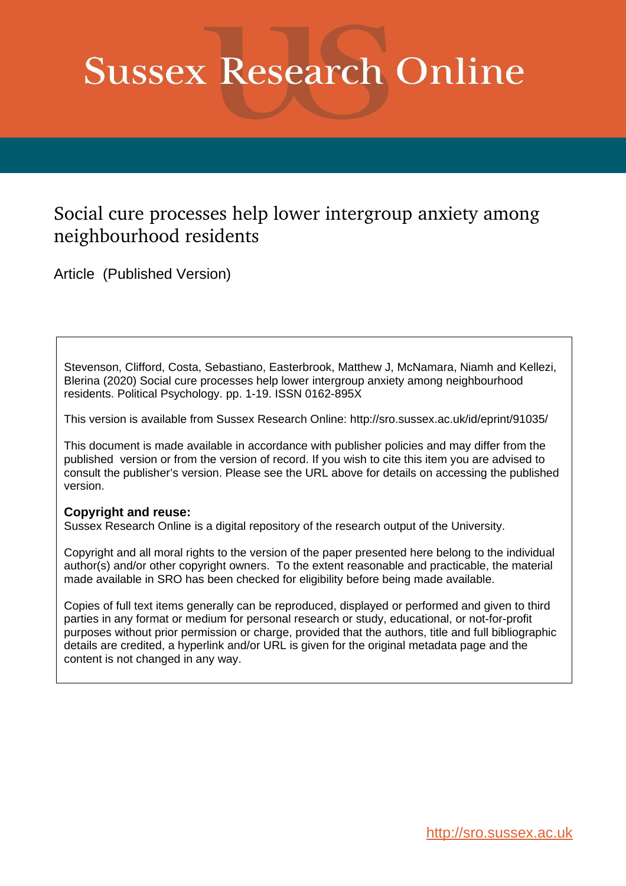# **Sussex Research Online**

## Social cure processes help lower intergroup anxiety among neighbourhood residents

Article (Published Version)

Stevenson, Clifford, Costa, Sebastiano, Easterbrook, Matthew J, McNamara, Niamh and Kellezi, Blerina (2020) Social cure processes help lower intergroup anxiety among neighbourhood residents. Political Psychology. pp. 1-19. ISSN 0162-895X

This version is available from Sussex Research Online: http://sro.sussex.ac.uk/id/eprint/91035/

This document is made available in accordance with publisher policies and may differ from the published version or from the version of record. If you wish to cite this item you are advised to consult the publisher's version. Please see the URL above for details on accessing the published version.

### **Copyright and reuse:**

Sussex Research Online is a digital repository of the research output of the University.

Copyright and all moral rights to the version of the paper presented here belong to the individual author(s) and/or other copyright owners. To the extent reasonable and practicable, the material made available in SRO has been checked for eligibility before being made available.

Copies of full text items generally can be reproduced, displayed or performed and given to third parties in any format or medium for personal research or study, educational, or not-for-profit purposes without prior permission or charge, provided that the authors, title and full bibliographic details are credited, a hyperlink and/or URL is given for the original metadata page and the content is not changed in any way.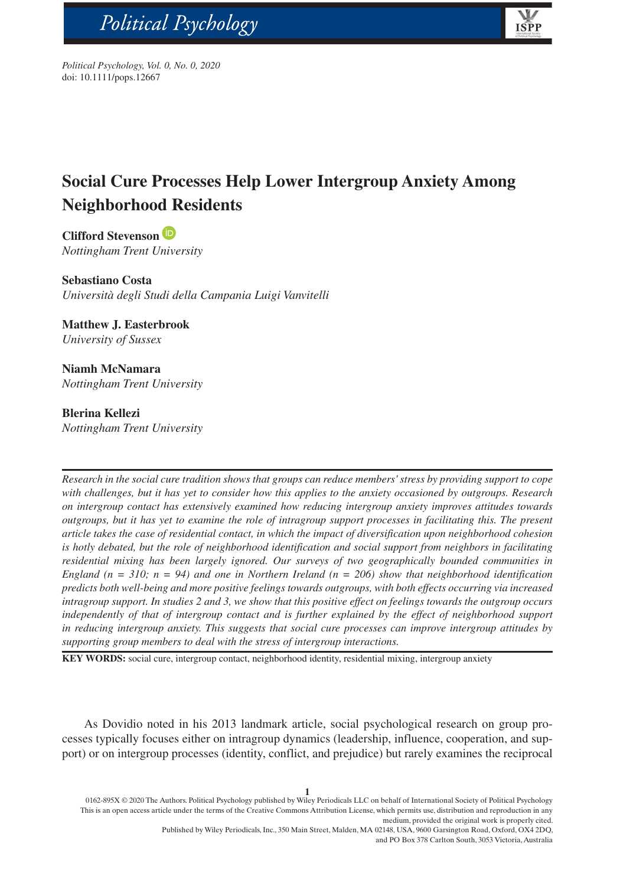# Political Psychology



*Political Psychology, Vol. 0, No. 0, 2020* doi: 10.1111/pops.12667

bs\_bs\_banner

## **Social Cure Processes Help Lower Intergroup Anxiety Among Neighborhood Residents**

**Clifford Stevenson** *Nottingham Trent University*

**Sebastiano Costa** *Università degli Studi della Campania Luigi Vanvitelli*

**Matthew J. Easterbrook** *University of Sussex*

**Niamh McNamara** *Nottingham Trent University*

#### **Blerina Kellezi**

*Nottingham Trent University*

*Research in the social cure tradition shows that groups can reduce members' stress by providing support to cope with challenges, but it has yet to consider how this applies to the anxiety occasioned by outgroups. Research on intergroup contact has extensively examined how reducing intergroup anxiety improves attitudes towards outgroups, but it has yet to examine the role of intragroup support processes in facilitating this. The present article takes the case of residential contact, in which the impact of diversification upon neighborhood cohesion is hotly debated, but the role of neighborhood identification and social support from neighbors in facilitating residential mixing has been largely ignored. Our surveys of two geographically bounded communities in England (n = 310; n = 94) and one in Northern Ireland (n = 206) show that neighborhood identification predicts both well-being and more positive feelings towards outgroups, with both effects occurring via increased intragroup support. In studies 2 and 3, we show that this positive effect on feelings towards the outgroup occurs independently of that of intergroup contact and is further explained by the effect of neighborhood support in reducing intergroup anxiety. This suggests that social cure processes can improve intergroup attitudes by supporting group members to deal with the stress of intergroup interactions.*

**KEY WORDS:** social cure, intergroup contact, neighborhood identity, residential mixing, intergroup anxiety

As Dovidio noted in his 2013 landmark article, social psychological research on group processes typically focuses either on intragroup dynamics (leadership, influence, cooperation, and support) or on intergroup processes (identity, conflict, and prejudice) but rarely examines the reciprocal

0162-895X © 2020 The Authors. Political Psychology published by Wiley Periodicals LLC on behalf of International Society of Political Psychology This is an open access article under the terms of the [Creative Commons Attribution](http://creativecommons.org/licenses/by/4.0/) License, which permits use, distribution and reproduction in any medium, provided the original work is properly cited.

> Published by Wiley Periodicals, Inc., 350 Main Street, Malden, MA 02148, USA, 9600 Garsington Road, Oxford, OX4 2DQ, and PO Box 378 Carlton South, 3053 Victoria, Australia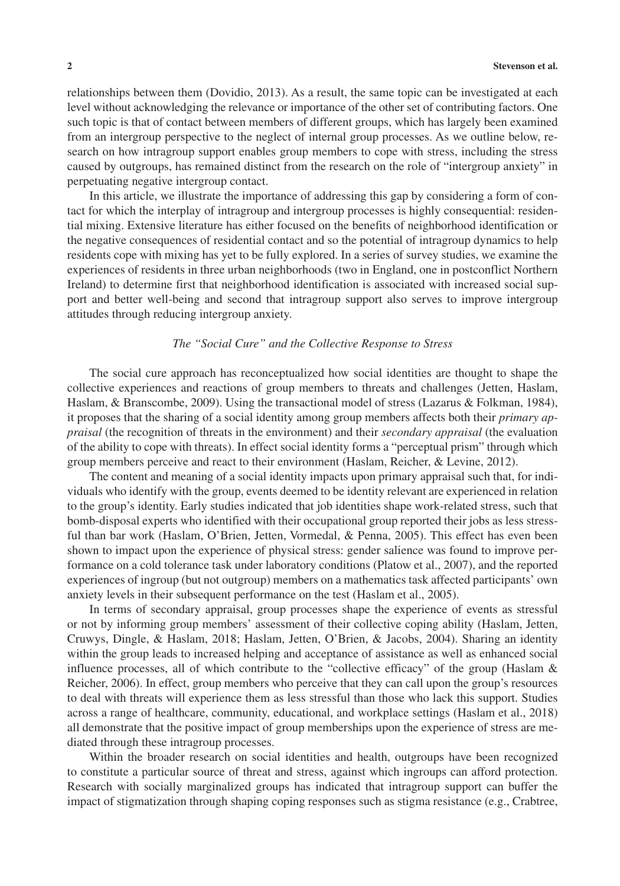relationships between them (Dovidio, 2013). As a result, the same topic can be investigated at each level without acknowledging the relevance or importance of the other set of contributing factors. One such topic is that of contact between members of different groups, which has largely been examined from an intergroup perspective to the neglect of internal group processes. As we outline below, research on how intragroup support enables group members to cope with stress, including the stress caused by outgroups, has remained distinct from the research on the role of "intergroup anxiety" in perpetuating negative intergroup contact.

In this article, we illustrate the importance of addressing this gap by considering a form of contact for which the interplay of intragroup and intergroup processes is highly consequential: residential mixing. Extensive literature has either focused on the benefits of neighborhood identification or the negative consequences of residential contact and so the potential of intragroup dynamics to help residents cope with mixing has yet to be fully explored. In a series of survey studies, we examine the experiences of residents in three urban neighborhoods (two in England, one in postconflict Northern Ireland) to determine first that neighborhood identification is associated with increased social support and better well-being and second that intragroup support also serves to improve intergroup attitudes through reducing intergroup anxiety.

#### *The "Social Cure" and the Collective Response to Stress*

The social cure approach has reconceptualized how social identities are thought to shape the collective experiences and reactions of group members to threats and challenges (Jetten, Haslam, Haslam, & Branscombe, 2009). Using the transactional model of stress (Lazarus & Folkman, 1984), it proposes that the sharing of a social identity among group members affects both their *primary appraisal* (the recognition of threats in the environment) and their *secondary appraisal* (the evaluation of the ability to cope with threats). In effect social identity forms a "perceptual prism" through which group members perceive and react to their environment (Haslam, Reicher, & Levine, 2012).

The content and meaning of a social identity impacts upon primary appraisal such that, for individuals who identify with the group, events deemed to be identity relevant are experienced in relation to the group's identity. Early studies indicated that job identities shape work-related stress, such that bomb-disposal experts who identified with their occupational group reported their jobs as less stressful than bar work (Haslam, O'Brien, Jetten, Vormedal, & Penna, 2005). This effect has even been shown to impact upon the experience of physical stress: gender salience was found to improve performance on a cold tolerance task under laboratory conditions (Platow et al., 2007), and the reported experiences of ingroup (but not outgroup) members on a mathematics task affected participants' own anxiety levels in their subsequent performance on the test (Haslam et al., 2005).

In terms of secondary appraisal, group processes shape the experience of events as stressful or not by informing group members' assessment of their collective coping ability (Haslam, Jetten, Cruwys, Dingle, & Haslam, 2018; Haslam, Jetten, O'Brien, & Jacobs, 2004). Sharing an identity within the group leads to increased helping and acceptance of assistance as well as enhanced social influence processes, all of which contribute to the "collective efficacy" of the group (Haslam & Reicher, 2006). In effect, group members who perceive that they can call upon the group's resources to deal with threats will experience them as less stressful than those who lack this support. Studies across a range of healthcare, community, educational, and workplace settings (Haslam et al., 2018) all demonstrate that the positive impact of group memberships upon the experience of stress are mediated through these intragroup processes.

Within the broader research on social identities and health, outgroups have been recognized to constitute a particular source of threat and stress, against which ingroups can afford protection. Research with socially marginalized groups has indicated that intragroup support can buffer the impact of stigmatization through shaping coping responses such as stigma resistance (e.g., Crabtree,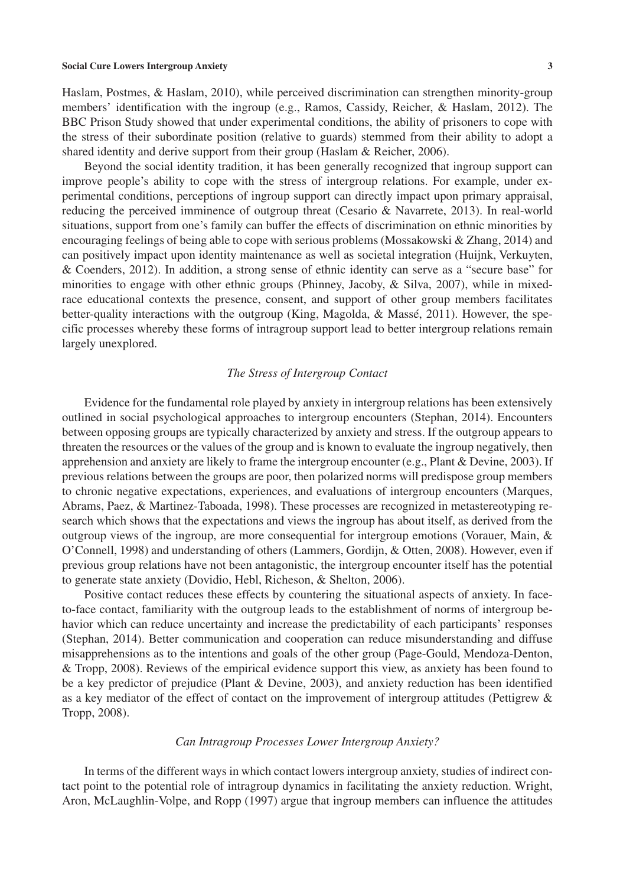Haslam, Postmes, & Haslam, 2010), while perceived discrimination can strengthen minority-group members' identification with the ingroup (e.g., Ramos, Cassidy, Reicher, & Haslam, 2012). The BBC Prison Study showed that under experimental conditions, the ability of prisoners to cope with the stress of their subordinate position (relative to guards) stemmed from their ability to adopt a shared identity and derive support from their group (Haslam & Reicher, 2006).

Beyond the social identity tradition, it has been generally recognized that ingroup support can improve people's ability to cope with the stress of intergroup relations. For example, under experimental conditions, perceptions of ingroup support can directly impact upon primary appraisal, reducing the perceived imminence of outgroup threat (Cesario & Navarrete, 2013). In real-world situations, support from one's family can buffer the effects of discrimination on ethnic minorities by encouraging feelings of being able to cope with serious problems (Mossakowski & Zhang, 2014) and can positively impact upon identity maintenance as well as societal integration (Huijnk, Verkuyten, & Coenders, 2012). In addition, a strong sense of ethnic identity can serve as a "secure base" for minorities to engage with other ethnic groups (Phinney, Jacoby, & Silva, 2007), while in mixedrace educational contexts the presence, consent, and support of other group members facilitates better-quality interactions with the outgroup (King, Magolda, & Massé, 2011). However, the specific processes whereby these forms of intragroup support lead to better intergroup relations remain largely unexplored.

#### *The Stress of Intergroup Contact*

Evidence for the fundamental role played by anxiety in intergroup relations has been extensively outlined in social psychological approaches to intergroup encounters (Stephan, 2014). Encounters between opposing groups are typically characterized by anxiety and stress. If the outgroup appears to threaten the resources or the values of the group and is known to evaluate the ingroup negatively, then apprehension and anxiety are likely to frame the intergroup encounter (e.g., Plant & Devine, 2003). If previous relations between the groups are poor, then polarized norms will predispose group members to chronic negative expectations, experiences, and evaluations of intergroup encounters (Marques, Abrams, Paez, & Martinez-Taboada, 1998). These processes are recognized in metastereotyping research which shows that the expectations and views the ingroup has about itself, as derived from the outgroup views of the ingroup, are more consequential for intergroup emotions (Vorauer, Main, & O'Connell, 1998) and understanding of others (Lammers, Gordijn, & Otten, 2008). However, even if previous group relations have not been antagonistic, the intergroup encounter itself has the potential to generate state anxiety (Dovidio, Hebl, Richeson, & Shelton, 2006).

Positive contact reduces these effects by countering the situational aspects of anxiety. In faceto-face contact, familiarity with the outgroup leads to the establishment of norms of intergroup behavior which can reduce uncertainty and increase the predictability of each participants' responses (Stephan, 2014). Better communication and cooperation can reduce misunderstanding and diffuse misapprehensions as to the intentions and goals of the other group (Page-Gould, Mendoza-Denton, & Tropp, 2008). Reviews of the empirical evidence support this view, as anxiety has been found to be a key predictor of prejudice (Plant & Devine, 2003), and anxiety reduction has been identified as a key mediator of the effect of contact on the improvement of intergroup attitudes (Pettigrew & Tropp, 2008).

#### *Can Intragroup Processes Lower Intergroup Anxiety?*

In terms of the different ways in which contact lowers intergroup anxiety, studies of indirect contact point to the potential role of intragroup dynamics in facilitating the anxiety reduction. Wright, Aron, McLaughlin-Volpe, and Ropp (1997) argue that ingroup members can influence the attitudes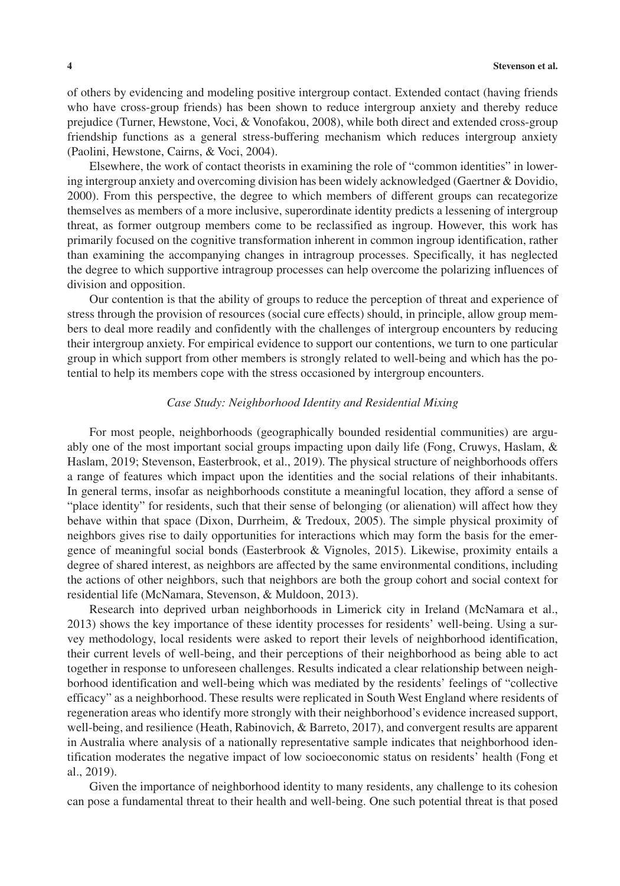of others by evidencing and modeling positive intergroup contact. Extended contact (having friends who have cross-group friends) has been shown to reduce intergroup anxiety and thereby reduce prejudice (Turner, Hewstone, Voci, & Vonofakou, 2008), while both direct and extended cross-group friendship functions as a general stress-buffering mechanism which reduces intergroup anxiety (Paolini, Hewstone, Cairns, & Voci, 2004).

Elsewhere, the work of contact theorists in examining the role of "common identities" in lowering intergroup anxiety and overcoming division has been widely acknowledged (Gaertner & Dovidio, 2000). From this perspective, the degree to which members of different groups can recategorize themselves as members of a more inclusive, superordinate identity predicts a lessening of intergroup threat, as former outgroup members come to be reclassified as ingroup. However, this work has primarily focused on the cognitive transformation inherent in common ingroup identification, rather than examining the accompanying changes in intragroup processes. Specifically, it has neglected the degree to which supportive intragroup processes can help overcome the polarizing influences of division and opposition.

Our contention is that the ability of groups to reduce the perception of threat and experience of stress through the provision of resources (social cure effects) should, in principle, allow group members to deal more readily and confidently with the challenges of intergroup encounters by reducing their intergroup anxiety. For empirical evidence to support our contentions, we turn to one particular group in which support from other members is strongly related to well-being and which has the potential to help its members cope with the stress occasioned by intergroup encounters.

#### *Case Study: Neighborhood Identity and Residential Mixing*

For most people, neighborhoods (geographically bounded residential communities) are arguably one of the most important social groups impacting upon daily life (Fong, Cruwys, Haslam, & Haslam, 2019; Stevenson, Easterbrook, et al., 2019). The physical structure of neighborhoods offers a range of features which impact upon the identities and the social relations of their inhabitants. In general terms, insofar as neighborhoods constitute a meaningful location, they afford a sense of "place identity" for residents, such that their sense of belonging (or alienation) will affect how they behave within that space (Dixon, Durrheim, & Tredoux, 2005). The simple physical proximity of neighbors gives rise to daily opportunities for interactions which may form the basis for the emergence of meaningful social bonds (Easterbrook & Vignoles, 2015). Likewise, proximity entails a degree of shared interest, as neighbors are affected by the same environmental conditions, including the actions of other neighbors, such that neighbors are both the group cohort and social context for residential life (McNamara, Stevenson, & Muldoon, 2013).

Research into deprived urban neighborhoods in Limerick city in Ireland (McNamara et al., 2013) shows the key importance of these identity processes for residents' well-being. Using a survey methodology, local residents were asked to report their levels of neighborhood identification, their current levels of well-being, and their perceptions of their neighborhood as being able to act together in response to unforeseen challenges. Results indicated a clear relationship between neighborhood identification and well-being which was mediated by the residents' feelings of "collective efficacy" as a neighborhood. These results were replicated in South West England where residents of regeneration areas who identify more strongly with their neighborhood's evidence increased support, well-being, and resilience (Heath, Rabinovich, & Barreto, 2017), and convergent results are apparent in Australia where analysis of a nationally representative sample indicates that neighborhood identification moderates the negative impact of low socioeconomic status on residents' health (Fong et al., 2019).

Given the importance of neighborhood identity to many residents, any challenge to its cohesion can pose a fundamental threat to their health and well-being. One such potential threat is that posed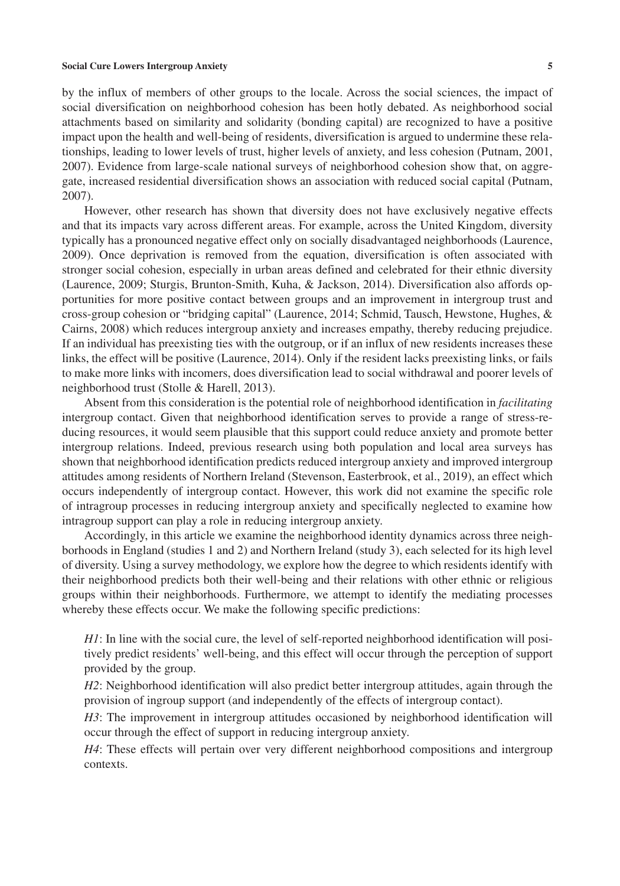by the influx of members of other groups to the locale. Across the social sciences, the impact of social diversification on neighborhood cohesion has been hotly debated. As neighborhood social attachments based on similarity and solidarity (bonding capital) are recognized to have a positive impact upon the health and well-being of residents, diversification is argued to undermine these relationships, leading to lower levels of trust, higher levels of anxiety, and less cohesion (Putnam, 2001, 2007). Evidence from large-scale national surveys of neighborhood cohesion show that, on aggregate, increased residential diversification shows an association with reduced social capital (Putnam, 2007).

However, other research has shown that diversity does not have exclusively negative effects and that its impacts vary across different areas. For example, across the United Kingdom, diversity typically has a pronounced negative effect only on socially disadvantaged neighborhoods (Laurence, 2009). Once deprivation is removed from the equation, diversification is often associated with stronger social cohesion, especially in urban areas defined and celebrated for their ethnic diversity (Laurence, 2009; Sturgis, Brunton-Smith, Kuha, & Jackson, 2014). Diversification also affords opportunities for more positive contact between groups and an improvement in intergroup trust and cross-group cohesion or "bridging capital" (Laurence, 2014; Schmid, Tausch, Hewstone, Hughes, & Cairns, 2008) which reduces intergroup anxiety and increases empathy, thereby reducing prejudice. If an individual has preexisting ties with the outgroup, or if an influx of new residents increases these links, the effect will be positive (Laurence, 2014). Only if the resident lacks preexisting links, or fails to make more links with incomers, does diversification lead to social withdrawal and poorer levels of neighborhood trust (Stolle & Harell, 2013).

Absent from this consideration is the potential role of neighborhood identification in *facilitating* intergroup contact. Given that neighborhood identification serves to provide a range of stress-reducing resources, it would seem plausible that this support could reduce anxiety and promote better intergroup relations. Indeed, previous research using both population and local area surveys has shown that neighborhood identification predicts reduced intergroup anxiety and improved intergroup attitudes among residents of Northern Ireland (Stevenson, Easterbrook, et al., 2019), an effect which occurs independently of intergroup contact. However, this work did not examine the specific role of intragroup processes in reducing intergroup anxiety and specifically neglected to examine how intragroup support can play a role in reducing intergroup anxiety.

Accordingly, in this article we examine the neighborhood identity dynamics across three neighborhoods in England (studies 1 and 2) and Northern Ireland (study 3), each selected for its high level of diversity. Using a survey methodology, we explore how the degree to which residents identify with their neighborhood predicts both their well-being and their relations with other ethnic or religious groups within their neighborhoods. Furthermore, we attempt to identify the mediating processes whereby these effects occur. We make the following specific predictions:

*H1*: In line with the social cure, the level of self-reported neighborhood identification will positively predict residents' well-being, and this effect will occur through the perception of support provided by the group.

*H2*: Neighborhood identification will also predict better intergroup attitudes, again through the provision of ingroup support (and independently of the effects of intergroup contact).

*H3*: The improvement in intergroup attitudes occasioned by neighborhood identification will occur through the effect of support in reducing intergroup anxiety.

*H4*: These effects will pertain over very different neighborhood compositions and intergroup contexts.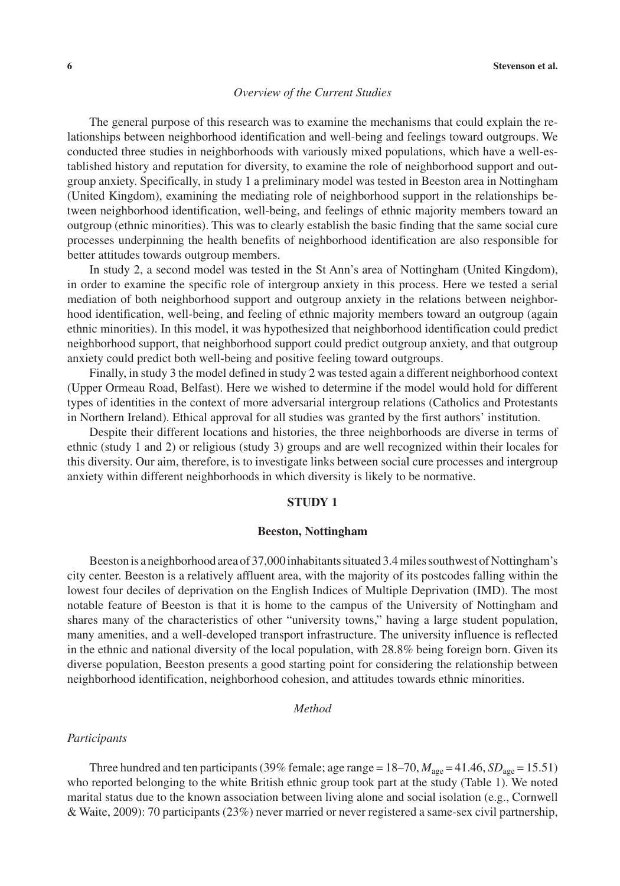#### *Overview of the Current Studies*

The general purpose of this research was to examine the mechanisms that could explain the relationships between neighborhood identification and well-being and feelings toward outgroups. We conducted three studies in neighborhoods with variously mixed populations, which have a well-established history and reputation for diversity, to examine the role of neighborhood support and outgroup anxiety. Specifically, in study 1 a preliminary model was tested in Beeston area in Nottingham (United Kingdom), examining the mediating role of neighborhood support in the relationships between neighborhood identification, well-being, and feelings of ethnic majority members toward an outgroup (ethnic minorities). This was to clearly establish the basic finding that the same social cure processes underpinning the health benefits of neighborhood identification are also responsible for better attitudes towards outgroup members.

In study 2, a second model was tested in the St Ann's area of Nottingham (United Kingdom), in order to examine the specific role of intergroup anxiety in this process. Here we tested a serial mediation of both neighborhood support and outgroup anxiety in the relations between neighborhood identification, well-being, and feeling of ethnic majority members toward an outgroup (again ethnic minorities). In this model, it was hypothesized that neighborhood identification could predict neighborhood support, that neighborhood support could predict outgroup anxiety, and that outgroup anxiety could predict both well-being and positive feeling toward outgroups.

Finally, in study 3 the model defined in study 2 was tested again a different neighborhood context (Upper Ormeau Road, Belfast). Here we wished to determine if the model would hold for different types of identities in the context of more adversarial intergroup relations (Catholics and Protestants in Northern Ireland). Ethical approval for all studies was granted by the first authors' institution.

Despite their different locations and histories, the three neighborhoods are diverse in terms of ethnic (study 1 and 2) or religious (study 3) groups and are well recognized within their locales for this diversity. Our aim, therefore, is to investigate links between social cure processes and intergroup anxiety within different neighborhoods in which diversity is likely to be normative.

#### **STUDY 1**

#### **Beeston, Nottingham**

Beeston is a neighborhood area of 37,000 inhabitants situated 3.4 miles southwest of Nottingham's city center. Beeston is a relatively affluent area, with the majority of its postcodes falling within the lowest four deciles of deprivation on the English Indices of Multiple Deprivation (IMD). The most notable feature of Beeston is that it is home to the campus of the University of Nottingham and shares many of the characteristics of other "university towns," having a large student population, many amenities, and a well-developed transport infrastructure. The university influence is reflected in the ethnic and national diversity of the local population, with 28.8% being foreign born. Given its diverse population, Beeston presents a good starting point for considering the relationship between neighborhood identification, neighborhood cohesion, and attitudes towards ethnic minorities.

#### *Method*

#### *Participants*

Three hundred and ten participants (39% female; age range =  $18-70$ ,  $M_{\text{age}} = 41.46$ ,  $SD_{\text{age}} = 15.51$ ) who reported belonging to the white British ethnic group took part at the study (Table 1). We noted marital status due to the known association between living alone and social isolation (e.g., Cornwell & Waite, 2009): 70 participants (23%) never married or never registered a same-sex civil partnership,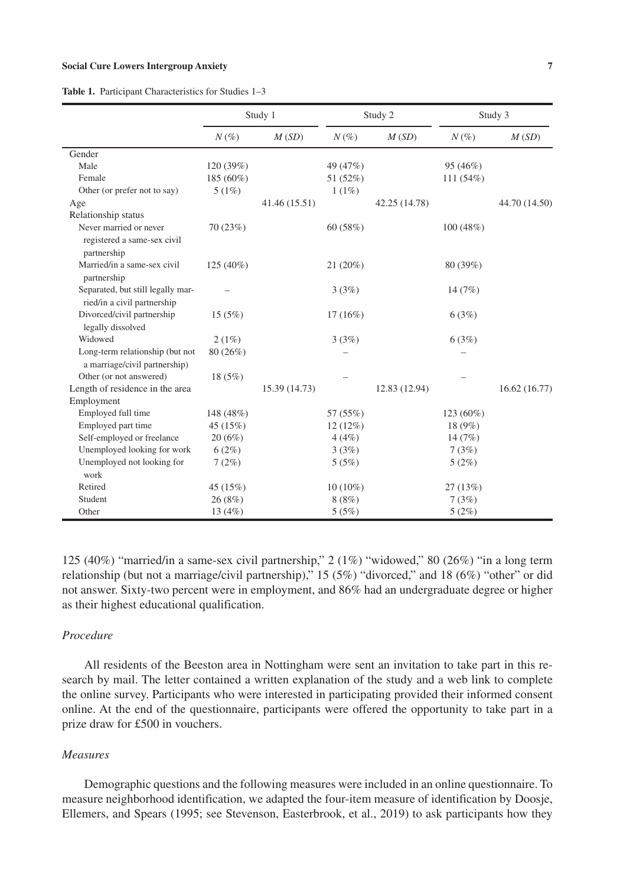|                                                                  | Study 1   |               | Study 2    |               |             | Study 3       |
|------------------------------------------------------------------|-----------|---------------|------------|---------------|-------------|---------------|
|                                                                  | $N(\%)$   | M(SD)         | $N(\%)$    | M(SD)         | $N(\%)$     | M(SD)         |
| Gender                                                           |           |               |            |               |             |               |
| Male                                                             | 120 (39%) |               | 49 (47%)   |               | 95 (46%)    |               |
| Female                                                           | 185 (60%) |               | 51 (52%)   |               | 111 (54%)   |               |
| Other (or prefer not to say)                                     | 5(1%)     |               | 1(1%)      |               |             |               |
| Age                                                              |           | 41.46 (15.51) |            | 42.25 (14.78) |             | 44.70 (14.50) |
| Relationship status                                              |           |               |            |               |             |               |
| Never married or never                                           | 70(23%)   |               | 60 (58%)   |               | 100(48%)    |               |
| registered a same-sex civil<br>partnership                       |           |               |            |               |             |               |
| Married/in a same-sex civil<br>partnership                       | 125 (40%) |               | 21 (20%)   |               | 80 (39%)    |               |
| Separated, but still legally mar-                                |           |               | 3(3%)      |               | 14(7%)      |               |
| ried/in a civil partnership                                      |           |               |            |               |             |               |
| Divorced/civil partnership                                       | 15(5%)    |               | $17(16\%)$ |               | 6(3%)       |               |
| legally dissolved                                                |           |               |            |               |             |               |
| Widowed                                                          | 2(1%)     |               | 3(3%)      |               | 6(3%)       |               |
| Long-term relationship (but not<br>a marriage/civil partnership) | 80 (26%)  |               |            |               |             |               |
| Other (or not answered)                                          | 18 (5%)   |               |            |               |             |               |
| Length of residence in the area                                  |           | 15.39 (14.73) |            | 12.83 (12.94) |             | 16.62 (16.77) |
| Employment                                                       |           |               |            |               |             |               |
| Employed full time                                               | 148 (48%) |               | 57 (55%)   |               | $123(60\%)$ |               |
| Employed part time                                               | 45 (15%)  |               | 12 (12%)   |               | 18 (9%)     |               |
| Self-employed or freelance                                       | 20(6%)    |               | 4(4%)      |               | 14 $(7%)$   |               |
| Unemployed looking for work                                      | 6(2%)     |               | 3(3%)      |               | 7(3%)       |               |
| Unemployed not looking for                                       | 7(2%)     |               | 5(5%)      |               | 5(2%)       |               |
| work                                                             |           |               |            |               |             |               |
| Retired                                                          | 45 (15%)  |               | $10(10\%)$ |               | 27(13%)     |               |
| Student                                                          | 26 (8%)   |               | 8(8%)      |               | 7(3%)       |               |
| Other                                                            | 13(4%)    |               | 5(5%)      |               | 5(2%)       |               |

**Table 1.** Participant Characteristics for Studies 1–3

125 (40%) "married/in a same-sex civil partnership,"  $2(1\%)$  "widowed," 80 (26%) "in a long term relationship (but not a marriage/civil partnership)," 15 (5%) "divorced," and 18 (6%) "other" or did not answer. Sixty-two percent were in employment, and 86% had an undergraduate degree or higher as their highest educational qualification.

#### *Procedure*

All residents of the Beeston area in Nottingham were sent an invitation to take part in this research by mail. The letter contained a written explanation of the study and a web link to complete the online survey. Participants who were interested in participating provided their informed consent online. At the end of the questionnaire, participants were offered the opportunity to take part in a prize draw for £500 in vouchers.

#### *Measures*

Demographic questions and the following measures were included in an online questionnaire. To measure neighborhood identification, we adapted the four-item measure of identification by Doosje, Ellemers, and Spears (1995; see Stevenson, Easterbrook, et al., 2019) to ask participants how they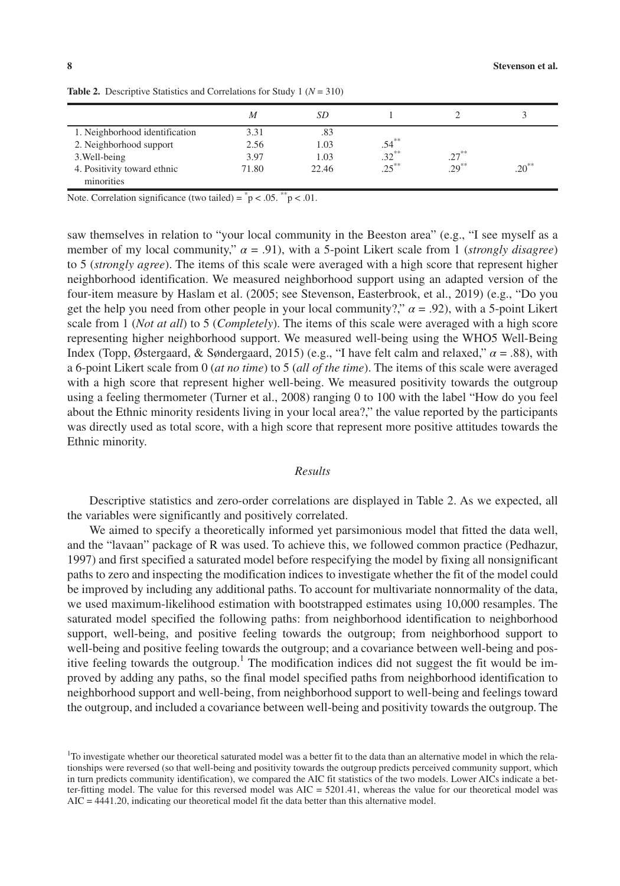|                                | M     | SD    |          |          |            |
|--------------------------------|-------|-------|----------|----------|------------|
| 1. Neighborhood identification | 3.31  | .83   |          |          |            |
| 2. Neighborhood support        | 2.56  | 1.03  | $.54***$ |          |            |
| 3. Well-being                  | 3.97  | 1.03  | $.32***$ | $.27***$ |            |
| 4. Positivity toward ethnic    | 71.80 | 22.46 | $.25***$ | $.29***$ | $.20^{**}$ |
| minorities                     |       |       |          |          |            |

**Table 2.** Descriptive Statistics and Correlations for Study 1 (*N* = 310)

Note. Correlation significance (two tailed) =  $\degree$  p < .05.  $\degree$  p < .01.

saw themselves in relation to "your local community in the Beeston area" (e.g., "I see myself as a member of my local community,"  $\alpha = .91$ ), with a 5-point Likert scale from 1 (*strongly disagree*) to 5 (*strongly agree*). The items of this scale were averaged with a high score that represent higher neighborhood identification. We measured neighborhood support using an adapted version of the four-item measure by Haslam et al. (2005; see Stevenson, Easterbrook, et al., 2019) (e.g., "Do you get the help you need from other people in your local community?,"  $\alpha$  = .92), with a 5-point Likert scale from 1 (*Not at all*) to 5 (*Completely*). The items of this scale were averaged with a high score representing higher neighborhood support. We measured well-being using the WHO5 Well-Being Index (Topp, Østergaard, & Søndergaard, 2015) (e.g., "I have felt calm and relaxed," *α* = .88), with a 6-point Likert scale from 0 (*at no time*) to 5 (*all of the time*). The items of this scale were averaged with a high score that represent higher well-being. We measured positivity towards the outgroup using a feeling thermometer (Turner et al., 2008) ranging 0 to 100 with the label "How do you feel about the Ethnic minority residents living in your local area?," the value reported by the participants was directly used as total score, with a high score that represent more positive attitudes towards the Ethnic minority.

#### *Results*

Descriptive statistics and zero-order correlations are displayed in Table 2. As we expected, all the variables were significantly and positively correlated.

We aimed to specify a theoretically informed yet parsimonious model that fitted the data well, and the "lavaan" package of R was used. To achieve this, we followed common practice (Pedhazur, 1997) and first specified a saturated model before respecifying the model by fixing all nonsignificant paths to zero and inspecting the modification indices to investigate whether the fit of the model could be improved by including any additional paths. To account for multivariate nonnormality of the data, we used maximum-likelihood estimation with bootstrapped estimates using 10,000 resamples. The saturated model specified the following paths: from neighborhood identification to neighborhood support, well-being, and positive feeling towards the outgroup; from neighborhood support to well-being and positive feeling towards the outgroup; and a covariance between well-being and positive feeling towards the outgroup.<sup>1</sup> The modification indices did not suggest the fit would be improved by adding any paths, so the final model specified paths from neighborhood identification to neighborhood support and well-being, from neighborhood support to well-being and feelings toward the outgroup, and included a covariance between well-being and positivity towards the outgroup. The

<sup>&</sup>lt;sup>1</sup>To investigate whether our theoretical saturated model was a better fit to the data than an alternative model in which the relationships were reversed (so that well-being and positivity towards the outgroup predicts perceived community support, which in turn predicts community identification), we compared the AIC fit statistics of the two models. Lower AICs indicate a better-fitting model. The value for this reversed model was  $AIC = 5201.41$ , whereas the value for our theoretical model was AIC = 4441.20, indicating our theoretical model fit the data better than this alternative model.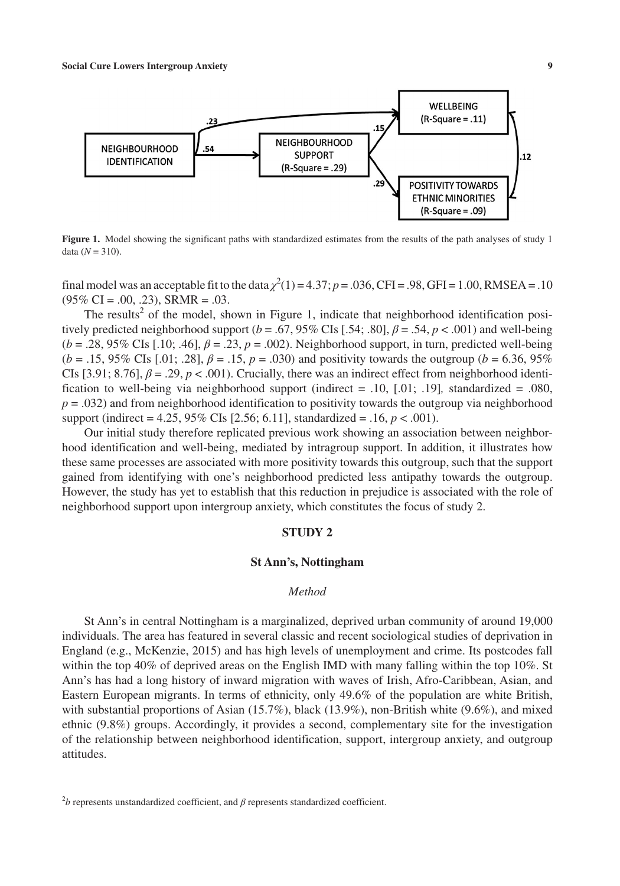

**Figure 1.** Model showing the significant paths with standardized estimates from the results of the path analyses of study 1 data  $(N = 310)$ .

final model was an acceptable fit to the data  $\chi^2(1) = 4.37$ ;  $p = .036$ , CFI = .98, GFI = 1.00, RMSEA = .10  $(95\% \text{ CI} = .00, .23)$ , SRMR =  $.03$ .

The results<sup>2</sup> of the model, shown in Figure 1, indicate that neighborhood identification positively predicted neighborhood support ( $b = .67, 95\%$  CIs [.54; .80],  $\beta = .54$ ,  $p < .001$ ) and well-being (*b* = .28, 95% CIs [.10; .46], *β* = .23, *p* = .002). Neighborhood support, in turn, predicted well-being (*b* = .15, 95% CIs [.01; .28], *β* = .15, *p* = .030) and positivity towards the outgroup (*b* = 6.36, 95% CIs  $[3.91; 8.76]$ ,  $\beta = .29$ ,  $p < .001$ ). Crucially, there was an indirect effect from neighborhood identification to well-being via neighborhood support (indirect  $= .10, [.01, .19]$ , standardized  $= .080$ ,  $p = .032$ ) and from neighborhood identification to positivity towards the outgroup via neighborhood support (indirect = 4.25, 95% CIs [2.56; 6.11], standardized = .16, *p* < .001).

Our initial study therefore replicated previous work showing an association between neighborhood identification and well-being, mediated by intragroup support. In addition, it illustrates how these same processes are associated with more positivity towards this outgroup, such that the support gained from identifying with one's neighborhood predicted less antipathy towards the outgroup. However, the study has yet to establish that this reduction in prejudice is associated with the role of neighborhood support upon intergroup anxiety, which constitutes the focus of study 2.

#### **STUDY 2**

#### **St Ann's, Nottingham**

#### *Method*

St Ann's in central Nottingham is a marginalized, deprived urban community of around 19,000 individuals. The area has featured in several classic and recent sociological studies of deprivation in England (e.g., McKenzie, 2015) and has high levels of unemployment and crime. Its postcodes fall within the top 40% of deprived areas on the English IMD with many falling within the top 10%. St Ann's has had a long history of inward migration with waves of Irish, Afro-Caribbean, Asian, and Eastern European migrants. In terms of ethnicity, only 49.6% of the population are white British, with substantial proportions of Asian (15.7%), black (13.9%), non-British white (9.6%), and mixed ethnic (9.8%) groups. Accordingly, it provides a second, complementary site for the investigation of the relationship between neighborhood identification, support, intergroup anxiety, and outgroup attitudes.

 $2b$  represents unstandardized coefficient, and  $β$  represents standardized coefficient.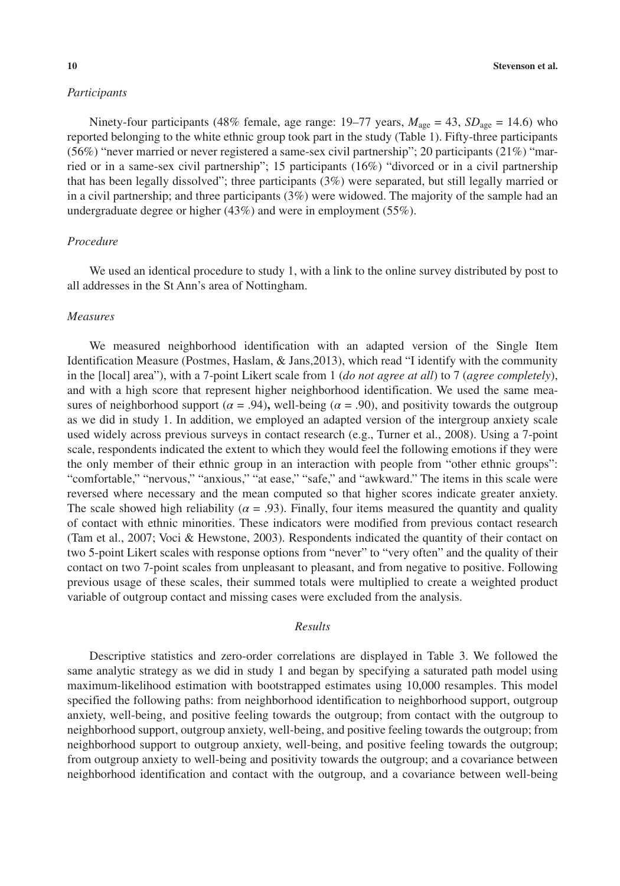#### *Participants*

Ninety-four participants (48% female, age range:  $19-77$  years,  $M_{\text{age}} = 43$ ,  $SD_{\text{age}} = 14.6$ ) who reported belonging to the white ethnic group took part in the study (Table 1). Fifty-three participants (56%) "never married or never registered a same-sex civil partnership"; 20 participants (21%) "married or in a same-sex civil partnership"; 15 participants (16%) "divorced or in a civil partnership that has been legally dissolved"; three participants (3%) were separated, but still legally married or in a civil partnership; and three participants (3%) were widowed. The majority of the sample had an undergraduate degree or higher (43%) and were in employment (55%).

#### *Procedure*

We used an identical procedure to study 1, with a link to the online survey distributed by post to all addresses in the St Ann's area of Nottingham.

#### *Measures*

We measured neighborhood identification with an adapted version of the Single Item Identification Measure (Postmes, Haslam, & Jans,2013), which read "I identify with the community in the [local] area"), with a 7-point Likert scale from 1 (*do not agree at all*) to 7 (*agree completely*), and with a high score that represent higher neighborhood identification. We used the same measures of neighborhood support ( $\alpha$  = .94), well-being ( $\alpha$  = .90), and positivity towards the outgroup as we did in study 1. In addition, we employed an adapted version of the intergroup anxiety scale used widely across previous surveys in contact research (e.g., Turner et al., 2008). Using a 7-point scale, respondents indicated the extent to which they would feel the following emotions if they were the only member of their ethnic group in an interaction with people from "other ethnic groups": "comfortable," "nervous," "anxious," "at ease," "safe," and "awkward." The items in this scale were reversed where necessary and the mean computed so that higher scores indicate greater anxiety. The scale showed high reliability ( $\alpha$  = .93). Finally, four items measured the quantity and quality of contact with ethnic minorities. These indicators were modified from previous contact research (Tam et al., 2007; Voci & Hewstone, 2003). Respondents indicated the quantity of their contact on two 5-point Likert scales with response options from "never" to "very often" and the quality of their contact on two 7-point scales from unpleasant to pleasant, and from negative to positive. Following previous usage of these scales, their summed totals were multiplied to create a weighted product variable of outgroup contact and missing cases were excluded from the analysis.

#### *Results*

Descriptive statistics and zero-order correlations are displayed in Table 3. We followed the same analytic strategy as we did in study 1 and began by specifying a saturated path model using maximum-likelihood estimation with bootstrapped estimates using 10,000 resamples. This model specified the following paths: from neighborhood identification to neighborhood support, outgroup anxiety, well-being, and positive feeling towards the outgroup; from contact with the outgroup to neighborhood support, outgroup anxiety, well-being, and positive feeling towards the outgroup; from neighborhood support to outgroup anxiety, well-being, and positive feeling towards the outgroup; from outgroup anxiety to well-being and positivity towards the outgroup; and a covariance between neighborhood identification and contact with the outgroup, and a covariance between well-being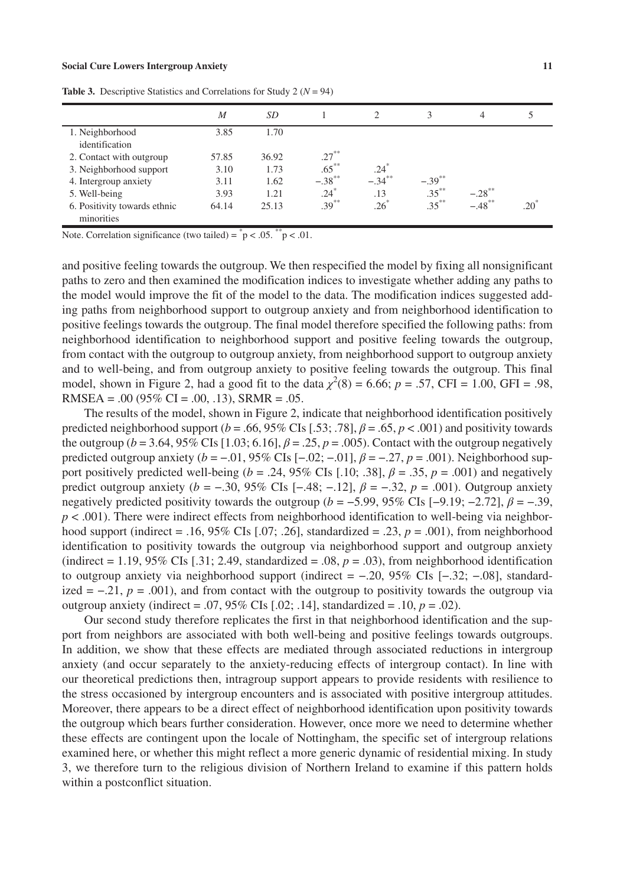|                              | M     | SD    |           |                    | 3         | 4                    |               |
|------------------------------|-------|-------|-----------|--------------------|-----------|----------------------|---------------|
| 1. Neighborhood              | 3.85  | 1.70  |           |                    |           |                      |               |
| identification               |       |       |           |                    |           |                      |               |
| 2. Contact with outgroup     | 57.85 | 36.92 | $.27***$  |                    |           |                      |               |
| 3. Neighborhood support      | 3.10  | 1.73  | $.65***$  | $.24$ <sup>*</sup> |           |                      |               |
| 4. Intergroup anxiety        | 3.11  | 1.62  | $-.38***$ | $-.34***$          | $-.39***$ |                      |               |
| 5. Well-being                | 3.93  | 1.21  | $.24*$    | .13                | $.35***$  | $-.28$ <sup>**</sup> |               |
| 6. Positivity towards ethnic | 64.14 | 25.13 | $.39***$  | $.26^*$            | $.35***$  | $-.48***$            | $.20^{\circ}$ |
| minorities                   |       |       |           |                    |           |                      |               |

**Table 3.** Descriptive Statistics and Correlations for Study 2 ( $N = 94$ )

Note. Correlation significance (two tailed) =  $\degree$  p < .05.  $\degree$  p < .01.

and positive feeling towards the outgroup. We then respecified the model by fixing all nonsignificant paths to zero and then examined the modification indices to investigate whether adding any paths to the model would improve the fit of the model to the data. The modification indices suggested adding paths from neighborhood support to outgroup anxiety and from neighborhood identification to positive feelings towards the outgroup. The final model therefore specified the following paths: from neighborhood identification to neighborhood support and positive feeling towards the outgroup, from contact with the outgroup to outgroup anxiety, from neighborhood support to outgroup anxiety and to well-being, and from outgroup anxiety to positive feeling towards the outgroup. This final model, shown in Figure 2, had a good fit to the data  $\chi^2(8) = 6.66$ ;  $p = .57$ , CFI = 1.00, GFI = .98, RMSEA =  $.00$  (95% CI =  $.00$ ,  $.13$ ), SRMR =  $.05$ .

The results of the model, shown in Figure 2, indicate that neighborhood identification positively predicted neighborhood support ( $b = .66, 95\%$  CIs [.53; .78],  $\beta = .65$ ,  $p < .001$ ) and positivity towards the outgroup (*b* = 3.64, 95% CIs [1.03; 6.16], *β* = .25, *p* = .005). Contact with the outgroup negatively predicted outgroup anxiety (*b* = −.01, 95% CIs [−.02; −.01], *β* = −.27, *p* = .001). Neighborhood support positively predicted well-being ( $b = .24$ , 95% CIs [.10; .38],  $\beta = .35$ ,  $p = .001$ ) and negatively predict outgroup anxiety (*b* = −.30, 95% CIs [−.48; −.12], *β* = −.32, *p* = .001). Outgroup anxiety negatively predicted positivity towards the outgroup ( $b = -5.99$ , 95% CIs [-9.19; -2.72],  $\beta = -39$ ,  $p < .001$ ). There were indirect effects from neighborhood identification to well-being via neighborhood support (indirect = .16, 95% CIs [.07; .26], standardized = .23, *p* = .001), from neighborhood identification to positivity towards the outgroup via neighborhood support and outgroup anxiety (indirect = 1.19, 95% CIs [.31; 2.49, standardized = .08,  $p = .03$ ), from neighborhood identification to outgroup anxiety via neighborhood support (indirect = −.20, 95% CIs [−.32; −.08], standardized =  $-0.21$ , *p* = .001), and from contact with the outgroup to positivity towards the outgroup via outgroup anxiety (indirect = .07, 95% CIs [.02; .14], standardized = .10,  $p = .02$ ).

Our second study therefore replicates the first in that neighborhood identification and the support from neighbors are associated with both well-being and positive feelings towards outgroups. In addition, we show that these effects are mediated through associated reductions in intergroup anxiety (and occur separately to the anxiety-reducing effects of intergroup contact). In line with our theoretical predictions then, intragroup support appears to provide residents with resilience to the stress occasioned by intergroup encounters and is associated with positive intergroup attitudes. Moreover, there appears to be a direct effect of neighborhood identification upon positivity towards the outgroup which bears further consideration. However, once more we need to determine whether these effects are contingent upon the locale of Nottingham, the specific set of intergroup relations examined here, or whether this might reflect a more generic dynamic of residential mixing. In study 3, we therefore turn to the religious division of Northern Ireland to examine if this pattern holds within a postconflict situation.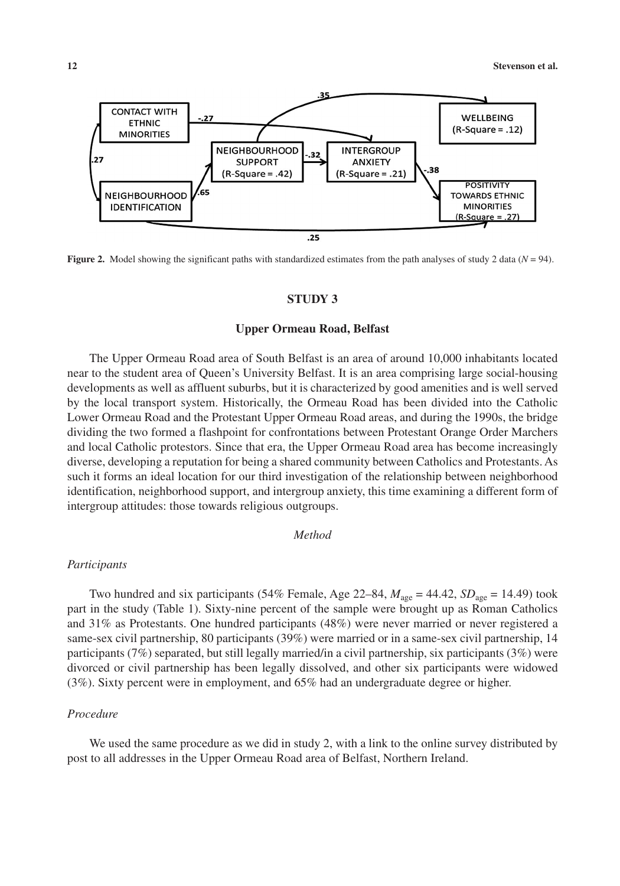

**Figure 2.** Model showing the significant paths with standardized estimates from the path analyses of study 2 data ( $N = 94$ ).

#### **STUDY 3**

#### **Upper Ormeau Road, Belfast**

The Upper Ormeau Road area of South Belfast is an area of around 10,000 inhabitants located near to the student area of Queen's University Belfast. It is an area comprising large social-housing developments as well as affluent suburbs, but it is characterized by good amenities and is well served by the local transport system. Historically, the Ormeau Road has been divided into the Catholic Lower Ormeau Road and the Protestant Upper Ormeau Road areas, and during the 1990s, the bridge dividing the two formed a flashpoint for confrontations between Protestant Orange Order Marchers and local Catholic protestors. Since that era, the Upper Ormeau Road area has become increasingly diverse, developing a reputation for being a shared community between Catholics and Protestants. As such it forms an ideal location for our third investigation of the relationship between neighborhood identification, neighborhood support, and intergroup anxiety, this time examining a different form of intergroup attitudes: those towards religious outgroups.

#### *Method*

#### *Participants*

Two hundred and six participants (54% Female, Age 22–84,  $M_{\text{age}} = 44.42$ ,  $SD_{\text{age}} = 14.49$ ) took part in the study (Table 1). Sixty-nine percent of the sample were brought up as Roman Catholics and 31% as Protestants. One hundred participants (48%) were never married or never registered a same-sex civil partnership, 80 participants (39%) were married or in a same-sex civil partnership, 14 participants (7%) separated, but still legally married/in a civil partnership, six participants (3%) were divorced or civil partnership has been legally dissolved, and other six participants were widowed (3%). Sixty percent were in employment, and 65% had an undergraduate degree or higher.

#### *Procedure*

We used the same procedure as we did in study 2, with a link to the online survey distributed by post to all addresses in the Upper Ormeau Road area of Belfast, Northern Ireland.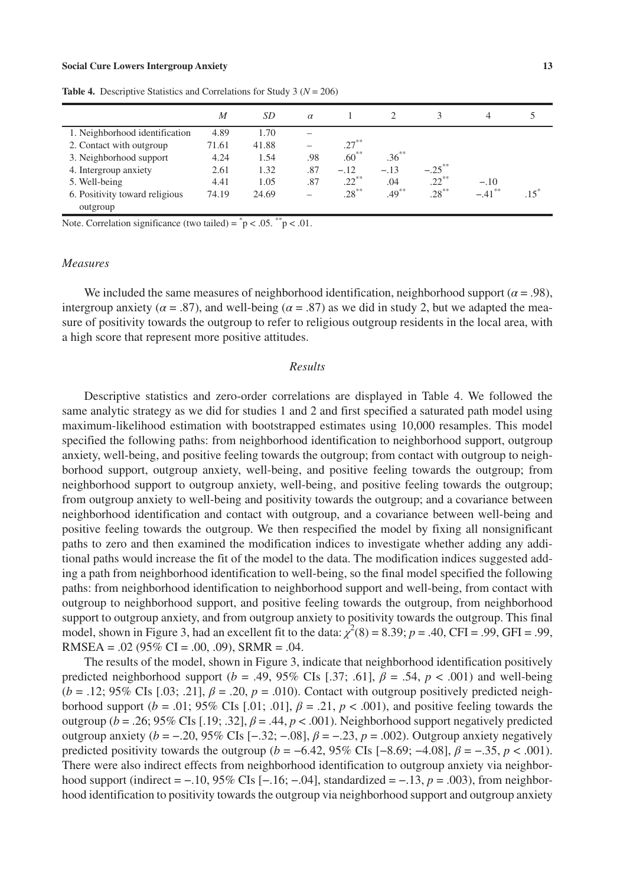|                                | M     | SD    | $\alpha$ |          |          | 3         | 4         |  |
|--------------------------------|-------|-------|----------|----------|----------|-----------|-----------|--|
| 1. Neighborhood identification | 4.89  | 1.70  |          |          |          |           |           |  |
| 2. Contact with outgroup       | 71.61 | 41.88 |          | $.27***$ |          |           |           |  |
| 3. Neighborhood support        | 4.24  | 1.54  | .98      | $.60***$ | $.36***$ |           |           |  |
| 4. Intergroup anxiety          | 2.61  | 1.32  | .87      | $-.12$   | $-.13$   | $-.25***$ |           |  |
| 5. Well-being                  | 4.41  | 1.05  | .87      | $.22***$ | .04      | $.22***$  | $-.10$    |  |
| 6. Positivity toward religious | 74.19 | 24.69 |          | $.28***$ | $.49***$ | $.28***$  | $-.41***$ |  |
| outgroup                       |       |       |          |          |          |           |           |  |

**Table 4.** Descriptive Statistics and Correlations for Study 3 (*N* = 206)

Note. Correlation significance (two tailed) =  $\degree$  p < .05.  $\degree$  p < .01.

#### *Measures*

We included the same measures of neighborhood identification, neighborhood support (*α* = .98), intergroup anxiety ( $\alpha = .87$ ), and well-being ( $\alpha = .87$ ) as we did in study 2, but we adapted the measure of positivity towards the outgroup to refer to religious outgroup residents in the local area, with a high score that represent more positive attitudes.

#### *Results*

Descriptive statistics and zero-order correlations are displayed in Table 4. We followed the same analytic strategy as we did for studies 1 and 2 and first specified a saturated path model using maximum-likelihood estimation with bootstrapped estimates using 10,000 resamples. This model specified the following paths: from neighborhood identification to neighborhood support, outgroup anxiety, well-being, and positive feeling towards the outgroup; from contact with outgroup to neighborhood support, outgroup anxiety, well-being, and positive feeling towards the outgroup; from neighborhood support to outgroup anxiety, well-being, and positive feeling towards the outgroup; from outgroup anxiety to well-being and positivity towards the outgroup; and a covariance between neighborhood identification and contact with outgroup, and a covariance between well-being and positive feeling towards the outgroup. We then respecified the model by fixing all nonsignificant paths to zero and then examined the modification indices to investigate whether adding any additional paths would increase the fit of the model to the data. The modification indices suggested adding a path from neighborhood identification to well-being, so the final model specified the following paths: from neighborhood identification to neighborhood support and well-being, from contact with outgroup to neighborhood support, and positive feeling towards the outgroup, from neighborhood support to outgroup anxiety, and from outgroup anxiety to positivity towards the outgroup. This final model, shown in Figure 3, had an excellent fit to the data:  $\chi^2(8) = 8.39$ ;  $p = .40$ , CFI = .99, GFI = .99, RMSEA =  $.02$  (95% CI =  $.00$ ,  $.09$ ), SRMR =  $.04$ .

The results of the model, shown in Figure 3, indicate that neighborhood identification positively predicted neighborhood support ( $b = .49$ , 95% CIs [.37; .61],  $\beta = .54$ ,  $p < .001$ ) and well-being  $(b = .12; 95\% \text{ CIs } [.03; .21], \beta = .20, p = .010)$ . Contact with outgroup positively predicted neighborhood support ( $b = .01$ ; 95% CIs [.01; .01],  $\beta = .21$ ,  $p < .001$ ), and positive feeling towards the outgroup ( $b = .26$ ; 95% CIs [.19; .32],  $\beta = .44$ ,  $p < .001$ ). Neighborhood support negatively predicted outgroup anxiety (*b* = −.20, 95% CIs [−.32; −.08], *β* = −.23, *p* = .002). Outgroup anxiety negatively predicted positivity towards the outgroup ( $b = -6.42$ , 95% CIs  $[-8.69; -4.08]$ ,  $\beta = -.35$ ,  $p < .001$ ). There were also indirect effects from neighborhood identification to outgroup anxiety via neighborhood support (indirect = −.10, 95% CIs [−.16; −.04], standardized = −.13, *p* = .003), from neighborhood identification to positivity towards the outgroup via neighborhood support and outgroup anxiety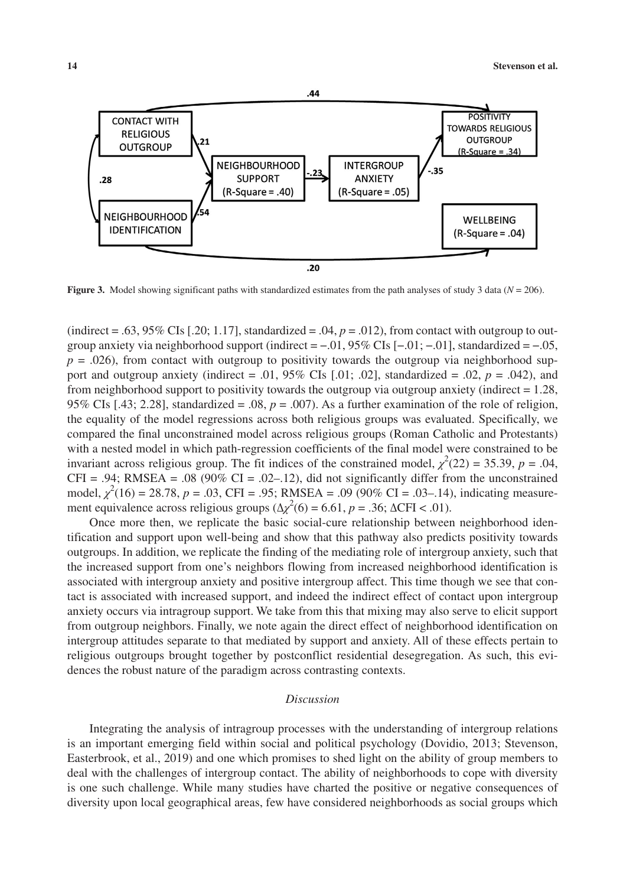

**Figure 3.** Model showing significant paths with standardized estimates from the path analyses of study 3 data (*N* = 206).

(indirect = .63, 95% CIs [.20; 1.17], standardized = .04,  $p = .012$ ), from contact with outgroup to outgroup anxiety via neighborhood support (indirect =  $-0.01$ , 95% CIs [ $-0.01$ ;  $-0.01$ ], standardized =  $-0.05$ ,  $p = .026$ ), from contact with outgroup to positivity towards the outgroup via neighborhood support and outgroup anxiety (indirect = .01,  $95\%$  CIs [.01; .02], standardized = .02,  $p = .042$ ), and from neighborhood support to positivity towards the outgroup via outgroup anxiety (indirect  $= 1.28$ , 95% CIs [.43; 2.28], standardized = .08, *p* = .007). As a further examination of the role of religion, the equality of the model regressions across both religious groups was evaluated. Specifically, we compared the final unconstrained model across religious groups (Roman Catholic and Protestants) with a nested model in which path-regression coefficients of the final model were constrained to be invariant across religious group. The fit indices of the constrained model,  $\chi^2(22) = 35.39$ ,  $p = .04$ , CFI = .94; RMSEA = .08 (90% CI = .02–.12), did not significantly differ from the unconstrained model,  $\chi^2(16) = 28.78$ , *p* = .03, CFI = .95; RMSEA = .09 (90% CI = .03–.14), indicating measurement equivalence across religious groups ( $\Delta \chi^2(6) = 6.61$ , *p* = .36;  $\Delta \text{CFI} < .01$ ).

Once more then, we replicate the basic social-cure relationship between neighborhood identification and support upon well-being and show that this pathway also predicts positivity towards outgroups. In addition, we replicate the finding of the mediating role of intergroup anxiety, such that the increased support from one's neighbors flowing from increased neighborhood identification is associated with intergroup anxiety and positive intergroup affect. This time though we see that contact is associated with increased support, and indeed the indirect effect of contact upon intergroup anxiety occurs via intragroup support. We take from this that mixing may also serve to elicit support from outgroup neighbors. Finally, we note again the direct effect of neighborhood identification on intergroup attitudes separate to that mediated by support and anxiety. All of these effects pertain to religious outgroups brought together by postconflict residential desegregation. As such, this evidences the robust nature of the paradigm across contrasting contexts.

#### *Discussion*

Integrating the analysis of intragroup processes with the understanding of intergroup relations is an important emerging field within social and political psychology (Dovidio, 2013; Stevenson, Easterbrook, et al., 2019) and one which promises to shed light on the ability of group members to deal with the challenges of intergroup contact. The ability of neighborhoods to cope with diversity is one such challenge. While many studies have charted the positive or negative consequences of diversity upon local geographical areas, few have considered neighborhoods as social groups which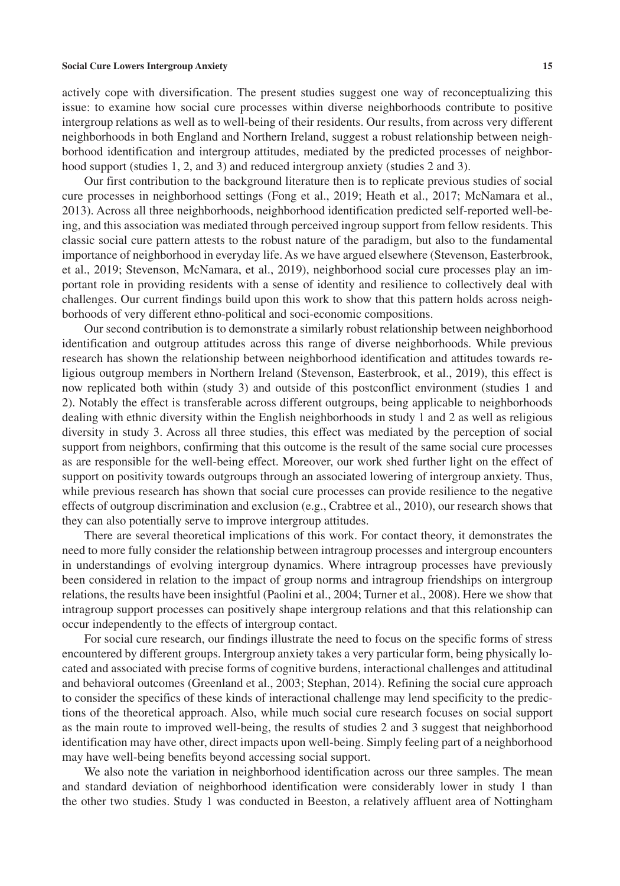actively cope with diversification. The present studies suggest one way of reconceptualizing this issue: to examine how social cure processes within diverse neighborhoods contribute to positive intergroup relations as well as to well-being of their residents. Our results, from across very different neighborhoods in both England and Northern Ireland, suggest a robust relationship between neighborhood identification and intergroup attitudes, mediated by the predicted processes of neighborhood support (studies 1, 2, and 3) and reduced intergroup anxiety (studies 2 and 3).

Our first contribution to the background literature then is to replicate previous studies of social cure processes in neighborhood settings (Fong et al., 2019; Heath et al., 2017; McNamara et al., 2013). Across all three neighborhoods, neighborhood identification predicted self-reported well-being, and this association was mediated through perceived ingroup support from fellow residents. This classic social cure pattern attests to the robust nature of the paradigm, but also to the fundamental importance of neighborhood in everyday life. As we have argued elsewhere (Stevenson, Easterbrook, et al., 2019; Stevenson, McNamara, et al., 2019), neighborhood social cure processes play an important role in providing residents with a sense of identity and resilience to collectively deal with challenges. Our current findings build upon this work to show that this pattern holds across neighborhoods of very different ethno-political and soci-economic compositions.

Our second contribution is to demonstrate a similarly robust relationship between neighborhood identification and outgroup attitudes across this range of diverse neighborhoods. While previous research has shown the relationship between neighborhood identification and attitudes towards religious outgroup members in Northern Ireland (Stevenson, Easterbrook, et al., 2019), this effect is now replicated both within (study 3) and outside of this postconflict environment (studies 1 and 2). Notably the effect is transferable across different outgroups, being applicable to neighborhoods dealing with ethnic diversity within the English neighborhoods in study 1 and 2 as well as religious diversity in study 3. Across all three studies, this effect was mediated by the perception of social support from neighbors, confirming that this outcome is the result of the same social cure processes as are responsible for the well-being effect. Moreover, our work shed further light on the effect of support on positivity towards outgroups through an associated lowering of intergroup anxiety. Thus, while previous research has shown that social cure processes can provide resilience to the negative effects of outgroup discrimination and exclusion (e.g., Crabtree et al., 2010), our research shows that they can also potentially serve to improve intergroup attitudes.

There are several theoretical implications of this work. For contact theory, it demonstrates the need to more fully consider the relationship between intragroup processes and intergroup encounters in understandings of evolving intergroup dynamics. Where intragroup processes have previously been considered in relation to the impact of group norms and intragroup friendships on intergroup relations, the results have been insightful (Paolini et al., 2004; Turner et al., 2008). Here we show that intragroup support processes can positively shape intergroup relations and that this relationship can occur independently to the effects of intergroup contact.

For social cure research, our findings illustrate the need to focus on the specific forms of stress encountered by different groups. Intergroup anxiety takes a very particular form, being physically located and associated with precise forms of cognitive burdens, interactional challenges and attitudinal and behavioral outcomes (Greenland et al., 2003; Stephan, 2014). Refining the social cure approach to consider the specifics of these kinds of interactional challenge may lend specificity to the predictions of the theoretical approach. Also, while much social cure research focuses on social support as the main route to improved well-being, the results of studies 2 and 3 suggest that neighborhood identification may have other, direct impacts upon well-being. Simply feeling part of a neighborhood may have well-being benefits beyond accessing social support.

We also note the variation in neighborhood identification across our three samples. The mean and standard deviation of neighborhood identification were considerably lower in study 1 than the other two studies. Study 1 was conducted in Beeston, a relatively affluent area of Nottingham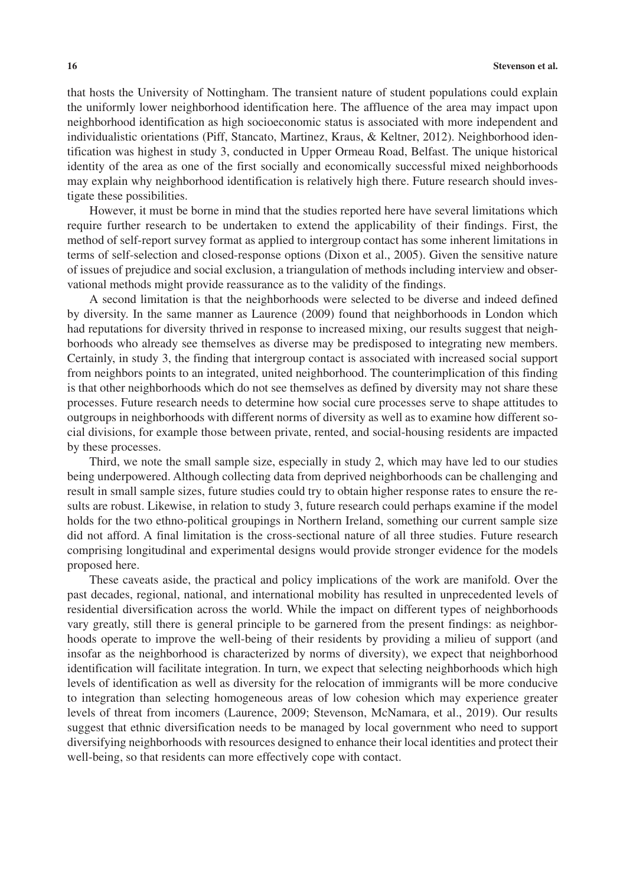that hosts the University of Nottingham. The transient nature of student populations could explain the uniformly lower neighborhood identification here. The affluence of the area may impact upon neighborhood identification as high socioeconomic status is associated with more independent and individualistic orientations (Piff, Stancato, Martinez, Kraus, & Keltner, 2012). Neighborhood identification was highest in study 3, conducted in Upper Ormeau Road, Belfast. The unique historical identity of the area as one of the first socially and economically successful mixed neighborhoods may explain why neighborhood identification is relatively high there. Future research should investigate these possibilities.

However, it must be borne in mind that the studies reported here have several limitations which require further research to be undertaken to extend the applicability of their findings. First, the method of self-report survey format as applied to intergroup contact has some inherent limitations in terms of self-selection and closed-response options (Dixon et al., 2005). Given the sensitive nature of issues of prejudice and social exclusion, a triangulation of methods including interview and observational methods might provide reassurance as to the validity of the findings.

A second limitation is that the neighborhoods were selected to be diverse and indeed defined by diversity. In the same manner as Laurence (2009) found that neighborhoods in London which had reputations for diversity thrived in response to increased mixing, our results suggest that neighborhoods who already see themselves as diverse may be predisposed to integrating new members. Certainly, in study 3, the finding that intergroup contact is associated with increased social support from neighbors points to an integrated, united neighborhood. The counterimplication of this finding is that other neighborhoods which do not see themselves as defined by diversity may not share these processes. Future research needs to determine how social cure processes serve to shape attitudes to outgroups in neighborhoods with different norms of diversity as well as to examine how different social divisions, for example those between private, rented, and social-housing residents are impacted by these processes.

Third, we note the small sample size, especially in study 2, which may have led to our studies being underpowered. Although collecting data from deprived neighborhoods can be challenging and result in small sample sizes, future studies could try to obtain higher response rates to ensure the results are robust. Likewise, in relation to study 3, future research could perhaps examine if the model holds for the two ethno-political groupings in Northern Ireland, something our current sample size did not afford. A final limitation is the cross-sectional nature of all three studies. Future research comprising longitudinal and experimental designs would provide stronger evidence for the models proposed here.

These caveats aside, the practical and policy implications of the work are manifold. Over the past decades, regional, national, and international mobility has resulted in unprecedented levels of residential diversification across the world. While the impact on different types of neighborhoods vary greatly, still there is general principle to be garnered from the present findings: as neighborhoods operate to improve the well-being of their residents by providing a milieu of support (and insofar as the neighborhood is characterized by norms of diversity), we expect that neighborhood identification will facilitate integration. In turn, we expect that selecting neighborhoods which high levels of identification as well as diversity for the relocation of immigrants will be more conducive to integration than selecting homogeneous areas of low cohesion which may experience greater levels of threat from incomers (Laurence, 2009; Stevenson, McNamara, et al., 2019). Our results suggest that ethnic diversification needs to be managed by local government who need to support diversifying neighborhoods with resources designed to enhance their local identities and protect their well-being, so that residents can more effectively cope with contact.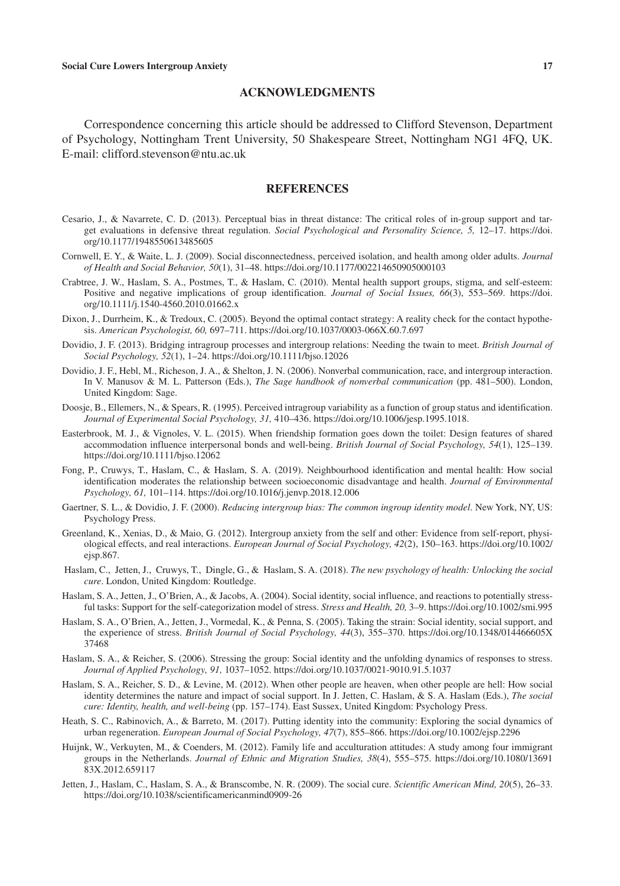#### **ACKNOWLEDGMENTS**

Correspondence concerning this article should be addressed to Clifford Stevenson, Department of Psychology, Nottingham Trent University, 50 Shakespeare Street, Nottingham NG1 4FQ, UK. E-mail: [clifford.stevenson@ntu.ac.uk](mailto:clifford.stevenson@ntu.ac.uk)

#### **REFERENCES**

- Cesario, J., & Navarrete, C. D. (2013). Perceptual bias in threat distance: The critical roles of in-group support and target evaluations in defensive threat regulation. *Social Psychological and Personality Science, 5,* 12–17. [https://doi.](https://doi.org/10.1177/1948550613485605) [org/10.1177/1948550613485605](https://doi.org/10.1177/1948550613485605)
- Cornwell, E. Y., & Waite, L. J. (2009). Social disconnectedness, perceived isolation, and health among older adults. *Journal of Health and Social Behavior, 50*(1), 31–48.<https://doi.org/10.1177/002214650905000103>
- Crabtree, J. W., Haslam, S. A., Postmes, T., & Haslam, C. (2010). Mental health support groups, stigma, and self-esteem: Positive and negative implications of group identification. *Journal of Social Issues, 66*(3), 553–569. [https://doi.](https://doi.org/10.1111/j.1540-4560.2010.01662.x) [org/10.1111/j.1540-4560.2010.01662.x](https://doi.org/10.1111/j.1540-4560.2010.01662.x)
- Dixon, J., Durrheim, K., & Tredoux, C. (2005). Beyond the optimal contact strategy: A reality check for the contact hypothesis. *American Psychologist, 60,* 697–711. <https://doi.org/10.1037/0003-066X.60.7.697>
- Dovidio, J. F. (2013). Bridging intragroup processes and intergroup relations: Needing the twain to meet. *British Journal of Social Psychology, 52*(1), 1–24.<https://doi.org/10.1111/bjso.12026>
- Dovidio, J. F., Hebl, M., Richeson, J. A., & Shelton, J. N. (2006). Nonverbal communication, race, and intergroup interaction. In V. Manusov & M. L. Patterson (Eds.), *The Sage handbook of nonverbal communication* (pp. 481–500). London, United Kingdom: Sage.
- Doosje, B., Ellemers, N., & Spears, R. (1995). Perceived intragroup variability as a function of group status and identification. *Journal of Experimental Social Psychology, 31,* 410–436.<https://doi.org/10.1006/jesp.1995.1018>.
- Easterbrook, M. J., & Vignoles, V. L. (2015). When friendship formation goes down the toilet: Design features of shared accommodation influence interpersonal bonds and well-being. *British Journal of Social Psychology, 54*(1), 125–139. <https://doi.org/10.1111/bjso.12062>
- Fong, P., Cruwys, T., Haslam, C., & Haslam, S. A. (2019). Neighbourhood identification and mental health: How social identification moderates the relationship between socioeconomic disadvantage and health. *Journal of Environmental Psychology, 61,* 101–114.<https://doi.org/10.1016/j.jenvp.2018.12.006>
- Gaertner, S. L., & Dovidio, J. F. (2000). *Reducing intergroup bias: The common ingroup identity model*. New York, NY, US: Psychology Press.
- Greenland, K., Xenias, D., & Maio, G. (2012). Intergroup anxiety from the self and other: Evidence from self-report, physiological effects, and real interactions. *European Journal of Social Psychology, 42*(2), 150–163. [https://doi.org/10.1002/](https://doi.org/10.1002/ejsp.867) [ejsp.867](https://doi.org/10.1002/ejsp.867).
- Haslam, C., Jetten, J., Cruwys, T., Dingle, G., & Haslam, S. A. (2018). *The new psychology of health: Unlocking the social cure*. London, United Kingdom: Routledge.
- Haslam, S. A., Jetten, J., O'Brien, A., & Jacobs, A. (2004). Social identity, social influence, and reactions to potentially stressful tasks: Support for the self-categorization model of stress. *Stress and Health, 20,* 3–9.<https://doi.org/10.1002/smi.995>
- Haslam, S. A., O'Brien, A., Jetten, J., Vormedal, K., & Penna, S. (2005). Taking the strain: Social identity, social support, and the experience of stress. *British Journal of Social Psychology, 44*(3), 355–370. [https://doi.org/10.1348/014466605X](https://doi.org/10.1348/014466605X37468) [37468](https://doi.org/10.1348/014466605X37468)
- Haslam, S. A., & Reicher, S. (2006). Stressing the group: Social identity and the unfolding dynamics of responses to stress. *Journal of Applied Psychology, 91,* 1037–1052. <https://doi.org/10.1037/0021-9010.91.5.1037>
- Haslam, S. A., Reicher, S. D., & Levine, M. (2012). When other people are heaven, when other people are hell: How social identity determines the nature and impact of social support. In J. Jetten, C. Haslam, & S. A. Haslam (Eds.), *The social cure: Identity, health, and well-being* (pp. 157–174). East Sussex, United Kingdom: Psychology Press.
- Heath, S. C., Rabinovich, A., & Barreto, M. (2017). Putting identity into the community: Exploring the social dynamics of urban regeneration. *European Journal of Social Psychology, 47*(7), 855–866. <https://doi.org/10.1002/ejsp.2296>
- Huijnk, W., Verkuyten, M., & Coenders, M. (2012). Family life and acculturation attitudes: A study among four immigrant groups in the Netherlands. *Journal of Ethnic and Migration Studies, 38*(4), 555–575. [https://doi.org/10.1080/13691](https://doi.org/10.1080/1369183X.2012.659117) [83X.2012.659117](https://doi.org/10.1080/1369183X.2012.659117)
- Jetten, J., Haslam, C., Haslam, S. A., & Branscombe, N. R. (2009). The social cure. *Scientific American Mind, 20*(5), 26–33. <https://doi.org/10.1038/scientificamericanmind0909-26>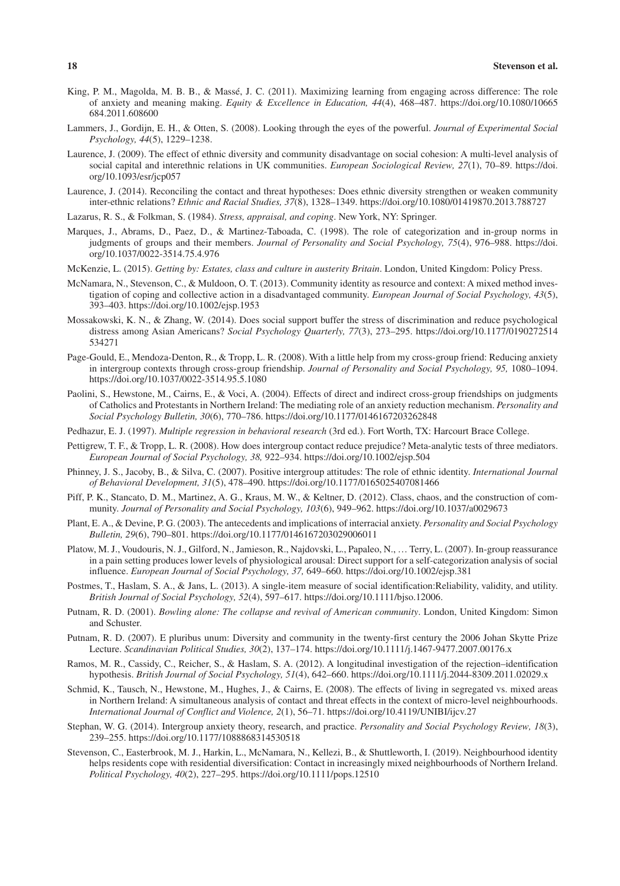- King, P. M., Magolda, M. B. B., & Massé, J. C. (2011). Maximizing learning from engaging across difference: The role of anxiety and meaning making. *Equity & Excellence in Education, 44*(4), 468–487. [https://doi.org/10.1080/10665](https://doi.org/10.1080/10665684.2011.608600) [684.2011.608600](https://doi.org/10.1080/10665684.2011.608600)
- Lammers, J., Gordijn, E. H., & Otten, S. (2008). Looking through the eyes of the powerful. *Journal of Experimental Social Psychology, 44*(5), 1229–1238.
- Laurence, J. (2009). The effect of ethnic diversity and community disadvantage on social cohesion: A multi-level analysis of social capital and interethnic relations in UK communities. *European Sociological Review, 27*(1), 70–89. [https://doi.](https://doi.org/10.1093/esr/jcp057) [org/10.1093/esr/jcp057](https://doi.org/10.1093/esr/jcp057)
- Laurence, J. (2014). Reconciling the contact and threat hypotheses: Does ethnic diversity strengthen or weaken community inter-ethnic relations? *Ethnic and Racial Studies, 37*(8), 1328–1349. <https://doi.org/10.1080/01419870.2013.788727>
- Lazarus, R. S., & Folkman, S. (1984). *Stress, appraisal, and coping*. New York, NY: Springer.
- Marques, J., Abrams, D., Paez, D., & Martinez-Taboada, C. (1998). The role of categorization and in-group norms in judgments of groups and their members. *Journal of Personality and Social Psychology, 75*(4), 976–988. [https://doi.](https://doi.org/10.1037/0022-3514.75.4.976) [org/10.1037/0022-3514.75.4.976](https://doi.org/10.1037/0022-3514.75.4.976)
- McKenzie, L. (2015). *Getting by: Estates, class and culture in austerity Britain*. London, United Kingdom: Policy Press.
- McNamara, N., Stevenson, C., & Muldoon, O. T. (2013). Community identity as resource and context: A mixed method investigation of coping and collective action in a disadvantaged community. *European Journal of Social Psychology, 43*(5), 393–403. <https://doi.org/10.1002/ejsp.1953>
- Mossakowski, K. N., & Zhang, W. (2014). Does social support buffer the stress of discrimination and reduce psychological distress among Asian Americans? *Social Psychology Quarterly, 77*(3), 273–295. [https://doi.org/10.1177/0190272514](https://doi.org/10.1177/0190272514534271) [534271](https://doi.org/10.1177/0190272514534271)
- Page-Gould, E., Mendoza-Denton, R., & Tropp, L. R. (2008). With a little help from my cross-group friend: Reducing anxiety in intergroup contexts through cross-group friendship. *Journal of Personality and Social Psychology, 95,* 1080–1094. <https://doi.org/10.1037/0022-3514.95.5.1080>
- Paolini, S., Hewstone, M., Cairns, E., & Voci, A. (2004). Effects of direct and indirect cross-group friendships on judgments of Catholics and Protestants in Northern Ireland: The mediating role of an anxiety reduction mechanism. *Personality and Social Psychology Bulletin, 30*(6), 770–786. <https://doi.org/10.1177/0146167203262848>
- Pedhazur, E. J. (1997). *Multiple regression in behavioral research* (3rd ed.). Fort Worth, TX: Harcourt Brace College.
- Pettigrew, T. F., & Tropp, L. R. (2008). How does intergroup contact reduce prejudice? Meta-analytic tests of three mediators. *European Journal of Social Psychology, 38,* 922–934.<https://doi.org/10.1002/ejsp.504>
- Phinney, J. S., Jacoby, B., & Silva, C. (2007). Positive intergroup attitudes: The role of ethnic identity. *International Journal of Behavioral Development, 31*(5), 478–490. <https://doi.org/10.1177/0165025407081466>
- Piff, P. K., Stancato, D. M., Martinez, A. G., Kraus, M. W., & Keltner, D. (2012). Class, chaos, and the construction of community. *Journal of Personality and Social Psychology, 103*(6), 949–962. <https://doi.org/10.1037/a0029673>
- Plant, E. A., & Devine, P. G. (2003). The antecedents and implications of interracial anxiety. *Personality and Social Psychology Bulletin, 29*(6), 790–801.<https://doi.org/10.1177/0146167203029006011>
- Platow, M. J., Voudouris, N. J., Gilford, N., Jamieson, R., Najdovski, L., Papaleo, N., … Terry, L. (2007). In-group reassurance in a pain setting produces lower levels of physiological arousal: Direct support for a self-categorization analysis of social influence. *European Journal of Social Psychology, 37,* 649–660.<https://doi.org/10.1002/ejsp.381>
- Postmes, T., Haslam, S. A., & Jans, L. (2013). A single-item measure of social identification:Reliability, validity, and utility. *British Journal of Social Psychology, 52*(4), 597–617.<https://doi.org/10.1111/bjso.12006>.
- Putnam, R. D. (2001). *Bowling alone: The collapse and revival of American community*. London, United Kingdom: Simon and Schuster.
- Putnam, R. D. (2007). E pluribus unum: Diversity and community in the twenty-first century the 2006 Johan Skytte Prize Lecture. *Scandinavian Political Studies, 30*(2), 137–174. <https://doi.org/10.1111/j.1467-9477.2007.00176.x>
- Ramos, M. R., Cassidy, C., Reicher, S., & Haslam, S. A. (2012). A longitudinal investigation of the rejection–identification hypothesis. *British Journal of Social Psychology, 51*(4), 642–660. <https://doi.org/10.1111/j.2044-8309.2011.02029.x>
- Schmid, K., Tausch, N., Hewstone, M., Hughes, J., & Cairns, E. (2008). The effects of living in segregated vs. mixed areas in Northern Ireland: A simultaneous analysis of contact and threat effects in the context of micro-level neighbourhoods. *International Journal of Conflict and Violence, 2*(1), 56–71.<https://doi.org/10.4119/UNIBI/ijcv.27>
- Stephan, W. G. (2014). Intergroup anxiety theory, research, and practice. *Personality and Social Psychology Review, 18*(3), 239–255. <https://doi.org/10.1177/1088868314530518>
- Stevenson, C., Easterbrook, M. J., Harkin, L., McNamara, N., Kellezi, B., & Shuttleworth, I. (2019). Neighbourhood identity helps residents cope with residential diversification: Contact in increasingly mixed neighbourhoods of Northern Ireland. *Political Psychology, 40*(2), 227–295. <https://doi.org/10.1111/pops.12510>